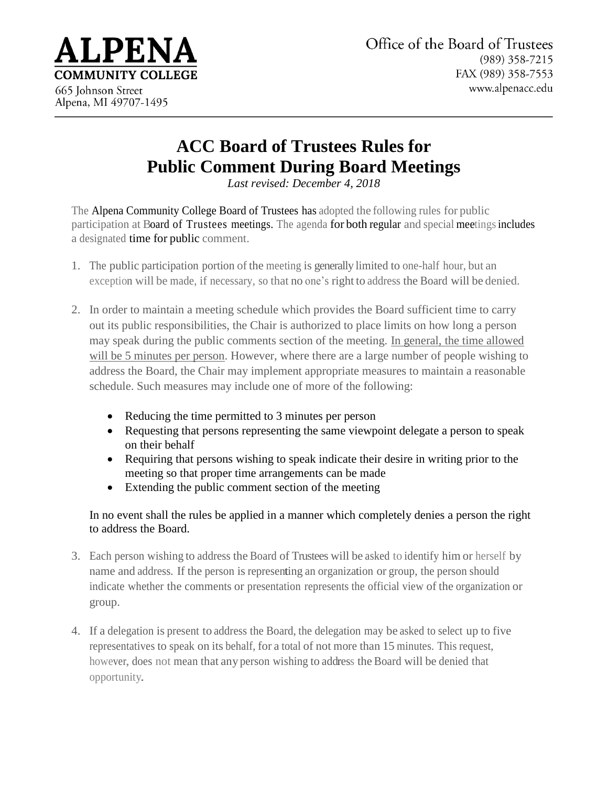

## **ACC Board of Trustees Rules for Public Comment During Board Meetings**

*Last revised: December 4, 2018*

The Alpena Community College Board of Trustees has adopted the following rules for public participation at Board of Trustees meetings. The agenda for both regular and special meetings includes a designated time for public comment.

- 1. The public participation portion of the meeting is generally limited to one-half hour, but an exception will be made, if necessary, so that no one's right to address the Board will be denied.
- 2. In order to maintain a meeting schedule which provides the Board sufficient time to carry out its public responsibilities, the Chair is authorized to place limits on how long a person may speak during the public comments section of the meeting. In general, the time allowed will be 5 minutes per person. However, where there are a large number of people wishing to address the Board, the Chair may implement appropriate measures to maintain a reasonable schedule. Such measures may include one of more of the following:
	- Reducing the time permitted to 3 minutes per person
	- Requesting that persons representing the same viewpoint delegate a person to speak on their behalf
	- Requiring that persons wishing to speak indicate their desire in writing prior to the meeting so that proper time arrangements can be made
	- Extending the public comment section of the meeting

In no event shall the rules be applied in a manner which completely denies a person the right to address the Board.

- 3. Each person wishing to address the Board of Trustees will be asked to identify him or herself by name and address. If the person is representing an organization or group, the person should indicate whether the comments or presentation represents the official view of the organization or group.
- 4. If a delegation is present to address the Board, the delegation may be asked to select up to five representatives to speak on its behalf, for a total of not more than 15 minutes. This request, however, does not mean that any person wishing to address the Board will be denied that opportunity.